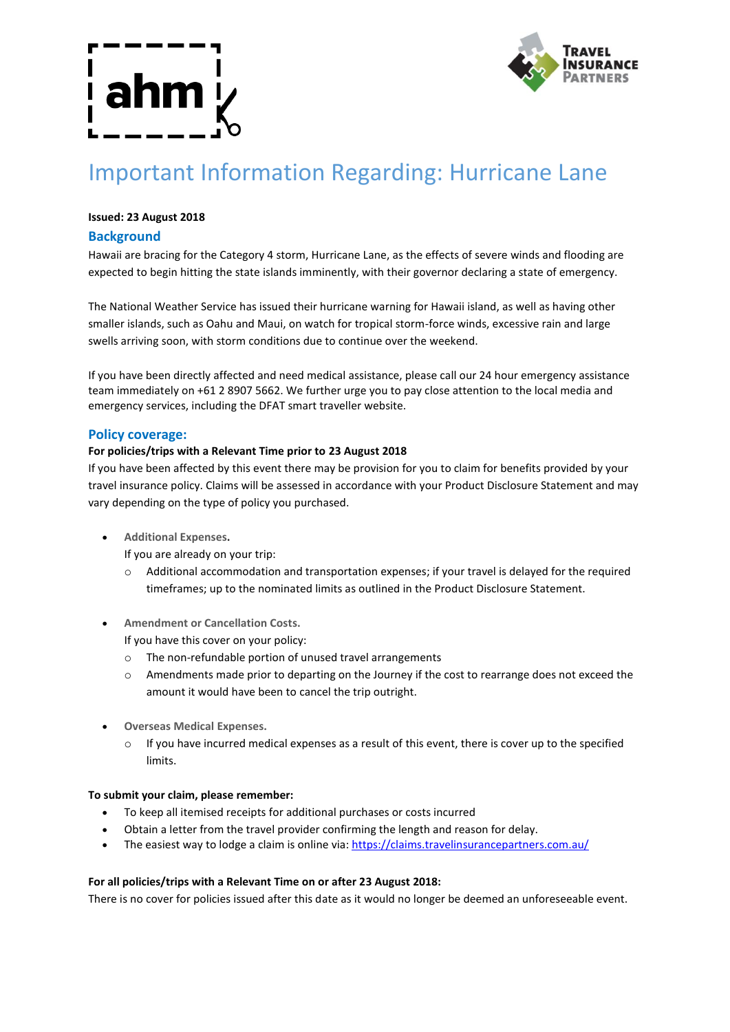

# Important Information Regarding: Hurricane Lane

# **Issued: 23 August 2018**

# **Background**

Hawaii are bracing for the Category 4 storm, Hurricane Lane, as the effects of severe winds and flooding are expected to begin hitting the state islands imminently, with their governor declaring a state of emergency.

The National Weather Service has issued their hurricane warning for Hawaii island, as well as having other smaller islands, such as Oahu and Maui, on watch for tropical storm-force winds, excessive rain and large swells arriving soon, with storm conditions due to continue over the weekend.

If you have been directly affected and need medical assistance, please call our 24 hour emergency assistance team immediately on +61 2 8907 5662. We further urge you to pay close attention to the local media and emergency services, including the DFAT smart traveller website.

### **Policy coverage:**

#### **For policies/trips with a Relevant Time prior to 23 August 2018**

If you have been affected by this event there may be provision for you to claim for benefits provided by your travel insurance policy. Claims will be assessed in accordance with your Product Disclosure Statement and may vary depending on the type of policy you purchased.

- **Additional Expenses.**
	- If you are already on your trip:
	- o Additional accommodation and transportation expenses; if your travel is delayed for the required timeframes; up to the nominated limits as outlined in the Product Disclosure Statement.
- **Amendment or Cancellation Costs.**

If you have this cover on your policy:

- o The non-refundable portion of unused travel arrangements
- o Amendments made prior to departing on the Journey if the cost to rearrange does not exceed the amount it would have been to cancel the trip outright.
- **Overseas Medical Expenses.**
	- $\circ$  If you have incurred medical expenses as a result of this event, there is cover up to the specified limits.

#### **To submit your claim, please remember:**

- To keep all itemised receipts for additional purchases or costs incurred
- Obtain a letter from the travel provider confirming the length and reason for delay.
- The easiest way to lodge a claim is online via: https://claims.travelinsurancepartners.com.au/

#### **For all policies/trips with a Relevant Time on or after 23 August 2018:**

There is no cover for policies issued after this date as it would no longer be deemed an unforeseeable event.